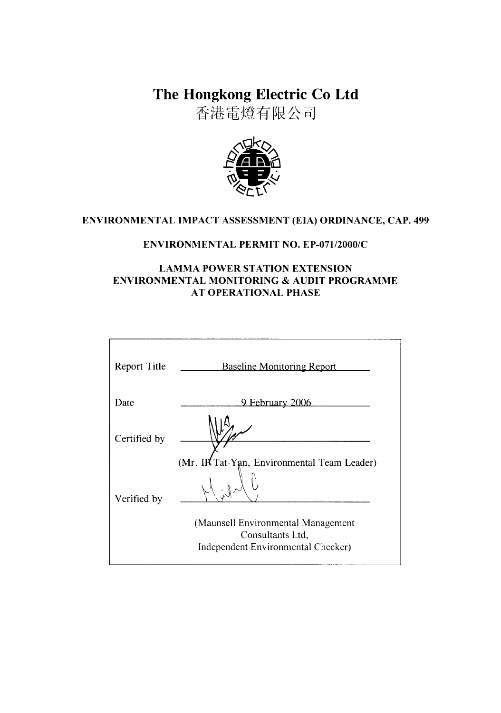The Hongkong Electric Co Ltd

香港電燈有限公司



# ENVIRONMENTAL IMPACT ASSESSMENT (EIA) ORDINANCE, CAP. 499

# **ENVIRONMENTAL PERMIT NO. EP-071/2000/C**

# **LAMMA POWER STATION EXTENSION** ENVIRONMENTAL MONITORING & AUDIT PROGRAMME **AT OPERATIONAL PHASE**

| <b>Report Title</b> | <b>Baseline Monitoring Report</b>                                                            |
|---------------------|----------------------------------------------------------------------------------------------|
| Date                | <u>9 February 2006</u>                                                                       |
| Certified by        |                                                                                              |
|                     | (Mr. IR Tat-Yan, Environmental Team Leader)                                                  |
| Verified by         | $\mathcal{D}^{\mathcal{L}}$                                                                  |
|                     | (Maunsell Environmental Management<br>Consultants Ltd,<br>Independent Environmental Checker) |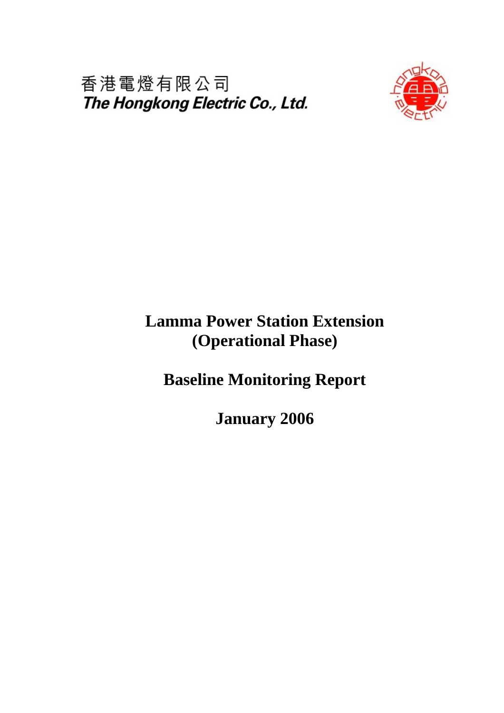香港電燈有限公司 The Hongkong Electric Co., Ltd.



# **Lamma Power Station Extension (Operational Phase)**

**Baseline Monitoring Report** 

**January 2006**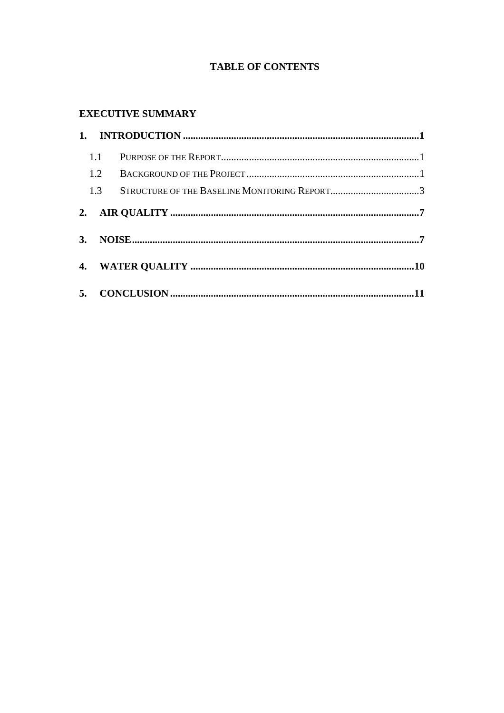# **TABLE OF CONTENTS**

# **EXECUTIVE SUMMARY**

| 1.1 |                                              |  |  |  |  |
|-----|----------------------------------------------|--|--|--|--|
|     |                                              |  |  |  |  |
| 1.3 | STRUCTURE OF THE BASELINE MONITORING REPORT3 |  |  |  |  |
|     |                                              |  |  |  |  |
|     |                                              |  |  |  |  |
|     |                                              |  |  |  |  |
|     |                                              |  |  |  |  |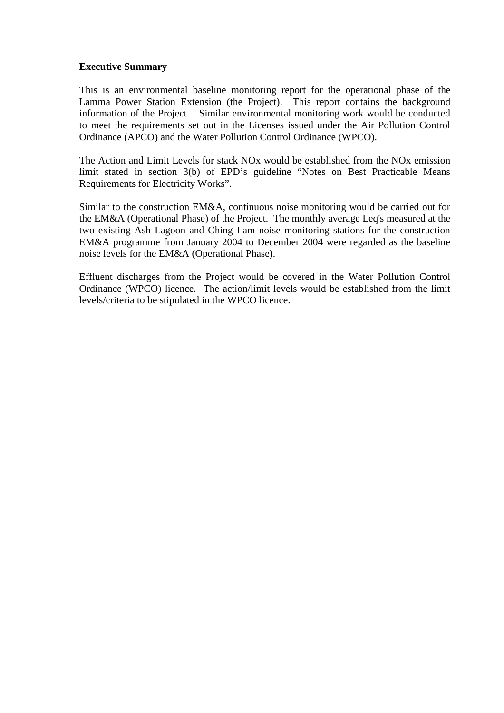#### **Executive Summary**

This is an environmental baseline monitoring report for the operational phase of the Lamma Power Station Extension (the Project). This report contains the background information of the Project. Similar environmental monitoring work would be conducted to meet the requirements set out in the Licenses issued under the Air Pollution Control Ordinance (APCO) and the Water Pollution Control Ordinance (WPCO).

The Action and Limit Levels for stack NOx would be established from the NOx emission limit stated in section 3(b) of EPD's guideline "Notes on Best Practicable Means Requirements for Electricity Works".

Similar to the construction EM&A, continuous noise monitoring would be carried out for the EM&A (Operational Phase) of the Project. The monthly average Leq's measured at the two existing Ash Lagoon and Ching Lam noise monitoring stations for the construction EM&A programme from January 2004 to December 2004 were regarded as the baseline noise levels for the EM&A (Operational Phase).

Effluent discharges from the Project would be covered in the Water Pollution Control Ordinance (WPCO) licence. The action/limit levels would be established from the limit levels/criteria to be stipulated in the WPCO licence.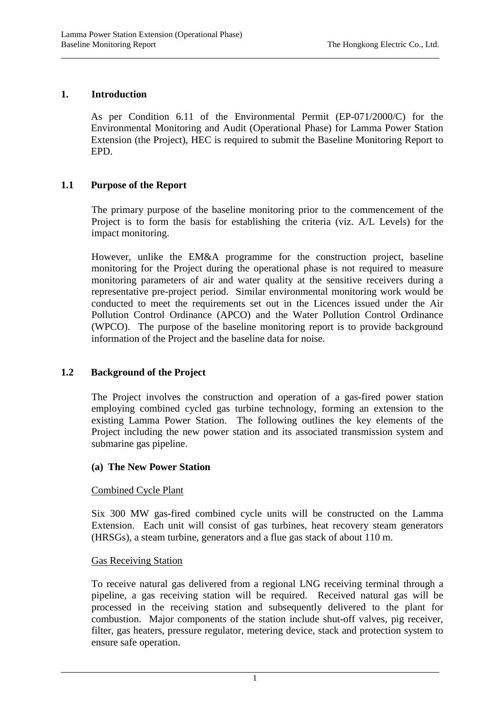# **1. Introduction**

l

As per Condition 6.11 of the Environmental Permit (EP-071/2000/C) for the Environmental Monitoring and Audit (Operational Phase) for Lamma Power Station Extension (the Project), HEC is required to submit the Baseline Monitoring Report to EPD.

# **1.1 Purpose of the Report**

The primary purpose of the baseline monitoring prior to the commencement of the Project is to form the basis for establishing the criteria (viz. A/L Levels) for the impact monitoring.

However, unlike the EM&A programme for the construction project, baseline monitoring for the Project during the operational phase is not required to measure monitoring parameters of air and water quality at the sensitive receivers during a representative pre-project period. Similar environmental monitoring work would be conducted to meet the requirements set out in the Licences issued under the Air Pollution Control Ordinance (APCO) and the Water Pollution Control Ordinance (WPCO). The purpose of the baseline monitoring report is to provide background information of the Project and the baseline data for noise.

#### **1.2 Background of the Project**

The Project involves the construction and operation of a gas-fired power station employing combined cycled gas turbine technology, forming an extension to the existing Lamma Power Station. The following outlines the key elements of the Project including the new power station and its associated transmission system and submarine gas pipeline.

#### **(a) The New Power Station**

#### Combined Cycle Plant

Six 300 MW gas-fired combined cycle units will be constructed on the Lamma Extension. Each unit will consist of gas turbines, heat recovery steam generators (HRSGs), a steam turbine, generators and a flue gas stack of about 110 m.

#### Gas Receiving Station

l

To receive natural gas delivered from a regional LNG receiving terminal through a pipeline, a gas receiving station will be required. Received natural gas will be processed in the receiving station and subsequently delivered to the plant for combustion. Major components of the station include shut-off valves, pig receiver, filter, gas heaters, pressure regulator, metering device, stack and protection system to ensure safe operation.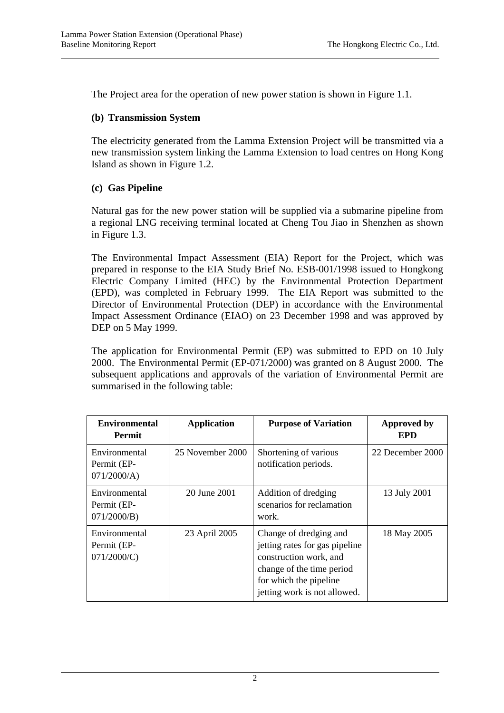The Project area for the operation of new power station is shown in Figure 1.1.

# **(b) Transmission System**

The electricity generated from the Lamma Extension Project will be transmitted via a new transmission system linking the Lamma Extension to load centres on Hong Kong Island as shown in Figure 1.2.

# **(c) Gas Pipeline**

l

l

Natural gas for the new power station will be supplied via a submarine pipeline from a regional LNG receiving terminal located at Cheng Tou Jiao in Shenzhen as shown in Figure 1.3.

The Environmental Impact Assessment (EIA) Report for the Project, which was prepared in response to the EIA Study Brief No. ESB-001/1998 issued to Hongkong Electric Company Limited (HEC) by the Environmental Protection Department (EPD), was completed in February 1999. The EIA Report was submitted to the Director of Environmental Protection (DEP) in accordance with the Environmental Impact Assessment Ordinance (EIAO) on 23 December 1998 and was approved by DEP on 5 May 1999.

The application for Environmental Permit (EP) was submitted to EPD on 10 July 2000. The Environmental Permit (EP-071/2000) was granted on 8 August 2000. The subsequent applications and approvals of the variation of Environmental Permit are summarised in the following table:

| <b>Environmental</b><br><b>Permit</b>          | <b>Application</b> | <b>Purpose of Variation</b>                                                                                                                                               | <b>Approved by</b><br>EPD |
|------------------------------------------------|--------------------|---------------------------------------------------------------------------------------------------------------------------------------------------------------------------|---------------------------|
| Environmental<br>Permit (EP-<br>071/2000/A     | 25 November 2000   | Shortening of various<br>notification periods.                                                                                                                            | 22 December 2000          |
| Environmental<br>Permit (EP-<br>$071/2000/B$ ) | 20 June 2001       | Addition of dredging<br>scenarios for reclamation<br>work.                                                                                                                | 13 July 2001              |
| Environmental<br>Permit (EP-<br>071/2000/C     | 23 April 2005      | Change of dredging and<br>jetting rates for gas pipeline<br>construction work, and<br>change of the time period<br>for which the pipeline<br>jetting work is not allowed. | 18 May 2005               |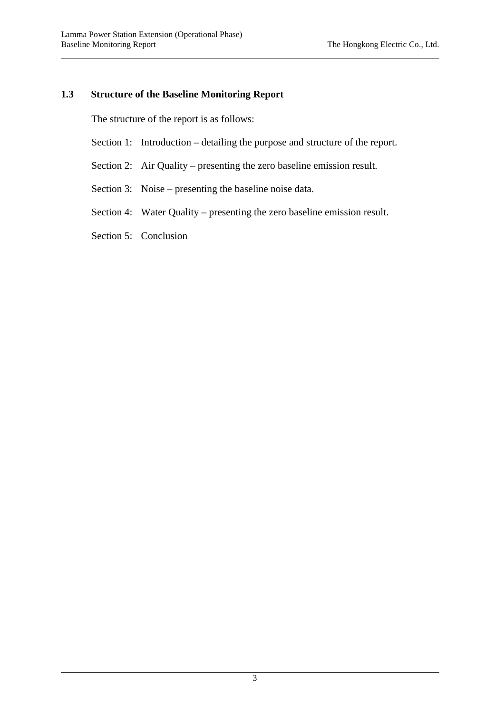l

### **1.3 Structure of the Baseline Monitoring Report**

The structure of the report is as follows:

- Section 1: Introduction detailing the purpose and structure of the report.
- Section 2: Air Quality presenting the zero baseline emission result.
- Section 3: Noise presenting the baseline noise data.
- Section 4: Water Quality presenting the zero baseline emission result.
- Section 5: Conclusion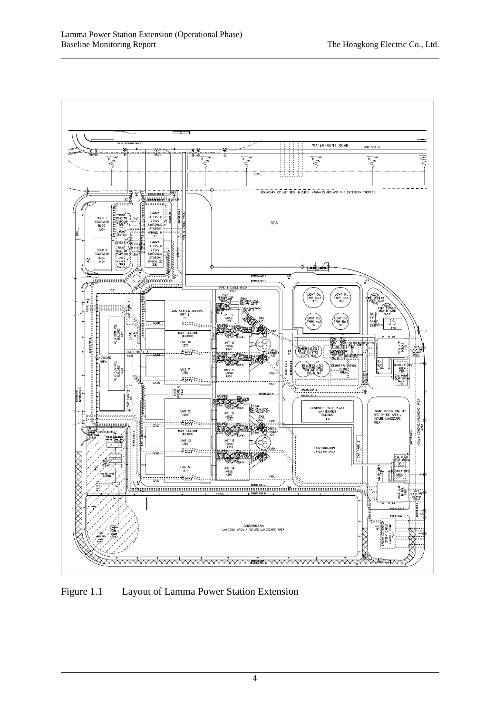l



Figure 1.1 Layout of Lamma Power Station Extension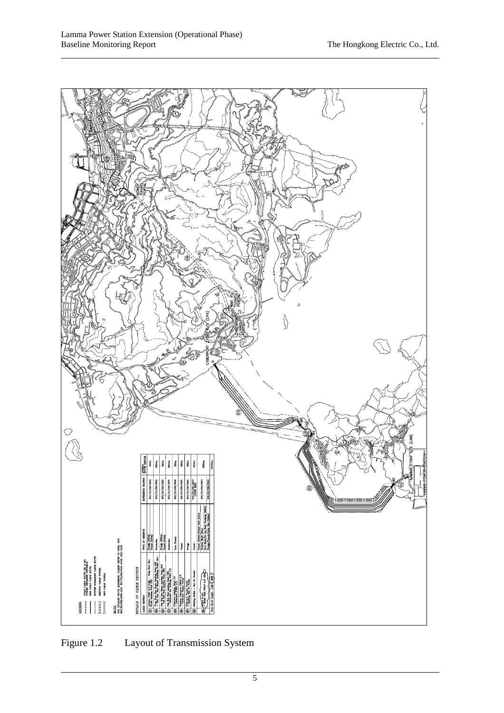

Figure 1.2 Layout of Transmission System

l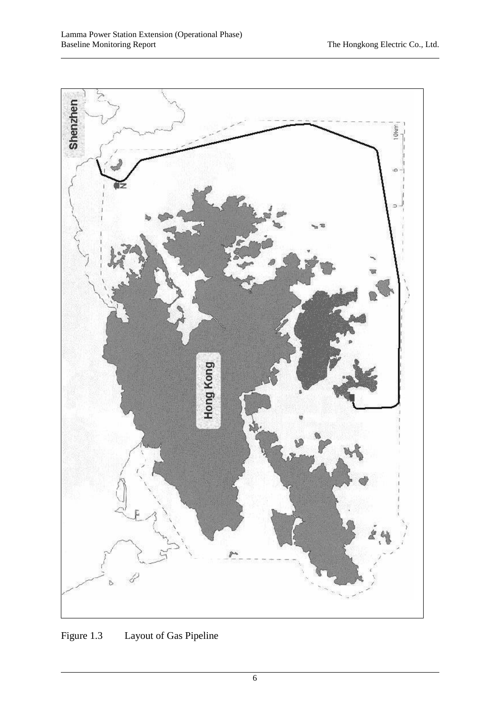

Figure 1.3 Layout of Gas Pipeline

l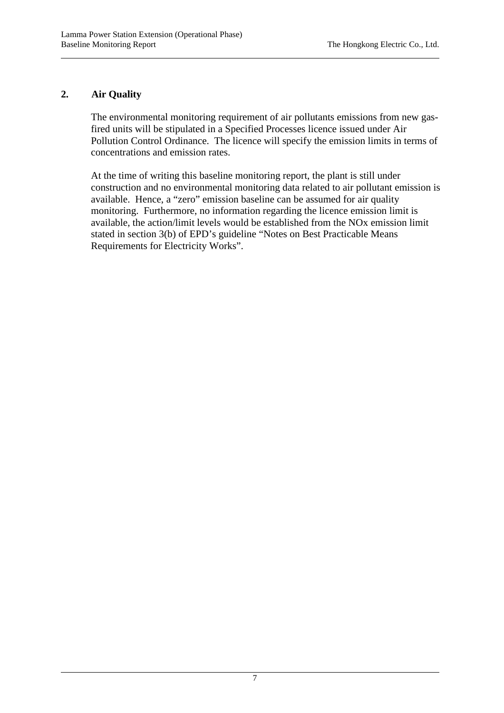# **2. Air Quality**

l

l

The environmental monitoring requirement of air pollutants emissions from new gasfired units will be stipulated in a Specified Processes licence issued under Air Pollution Control Ordinance. The licence will specify the emission limits in terms of concentrations and emission rates.

At the time of writing this baseline monitoring report, the plant is still under construction and no environmental monitoring data related to air pollutant emission is available. Hence, a "zero" emission baseline can be assumed for air quality monitoring. Furthermore, no information regarding the licence emission limit is available, the action/limit levels would be established from the NOx emission limit stated in section 3(b) of EPD's guideline "Notes on Best Practicable Means Requirements for Electricity Works".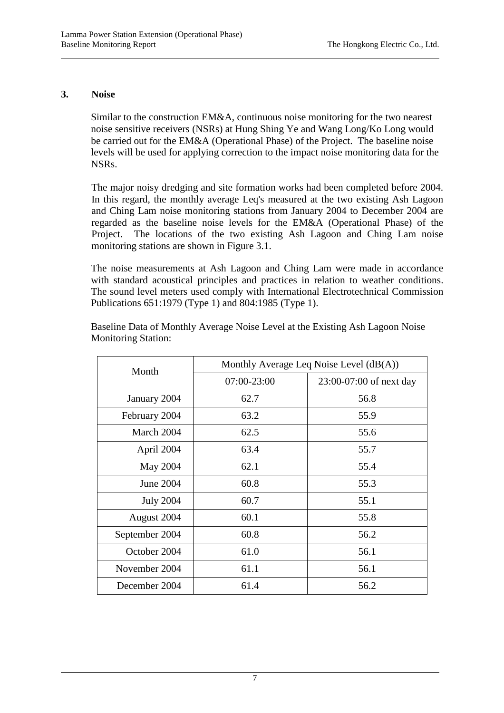## **3. Noise**

l

l

Similar to the construction EM&A, continuous noise monitoring for the two nearest noise sensitive receivers (NSRs) at Hung Shing Ye and Wang Long/Ko Long would be carried out for the EM&A (Operational Phase) of the Project. The baseline noise levels will be used for applying correction to the impact noise monitoring data for the NSRs.

The major noisy dredging and site formation works had been completed before 2004. In this regard, the monthly average Leq's measured at the two existing Ash Lagoon and Ching Lam noise monitoring stations from January 2004 to December 2004 are regarded as the baseline noise levels for the EM&A (Operational Phase) of the Project. The locations of the two existing Ash Lagoon and Ching Lam noise monitoring stations are shown in Figure 3.1.

The noise measurements at Ash Lagoon and Ching Lam were made in accordance with standard acoustical principles and practices in relation to weather conditions. The sound level meters used comply with International Electrotechnical Commission Publications 651:1979 (Type 1) and 804:1985 (Type 1).

| Month            | Monthly Average Leq Noise Level (dB(A)) |                         |  |
|------------------|-----------------------------------------|-------------------------|--|
|                  | 07:00-23:00                             | 23:00-07:00 of next day |  |
| January 2004     | 62.7                                    | 56.8                    |  |
| February 2004    | 63.2                                    | 55.9                    |  |
| March 2004       | 62.5                                    | 55.6                    |  |
| April 2004       | 63.4                                    | 55.7                    |  |
| May 2004         | 62.1                                    | 55.4                    |  |
| <b>June 2004</b> | 60.8                                    | 55.3                    |  |
| <b>July 2004</b> | 60.7                                    | 55.1                    |  |
| August 2004      | 60.1                                    | 55.8                    |  |
| September 2004   | 60.8                                    | 56.2                    |  |
| October 2004     | 61.0                                    | 56.1                    |  |
| November 2004    | 61.1                                    | 56.1                    |  |
| December 2004    | 61.4                                    | 56.2                    |  |

Baseline Data of Monthly Average Noise Level at the Existing Ash Lagoon Noise Monitoring Station: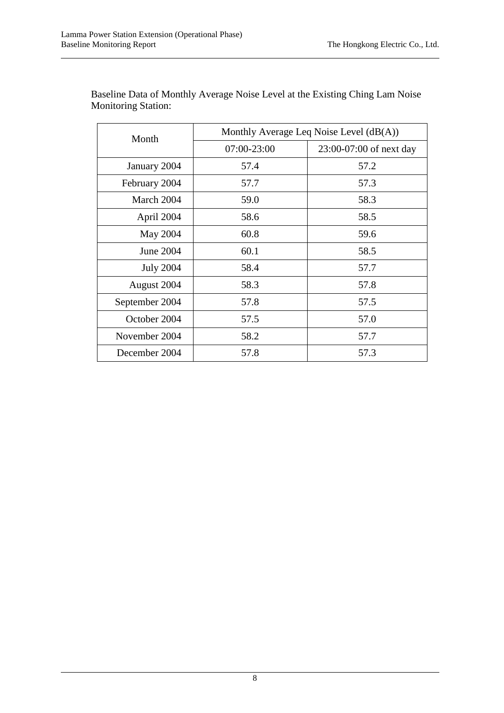l

| Month            | Monthly Average Leq Noise Level (dB(A)) |                         |  |
|------------------|-----------------------------------------|-------------------------|--|
|                  | 07:00-23:00                             | 23:00-07:00 of next day |  |
| January 2004     | 57.4                                    | 57.2                    |  |
| February 2004    | 57.7                                    | 57.3                    |  |
| March 2004       | 59.0                                    | 58.3                    |  |
| April 2004       | 58.6                                    | 58.5                    |  |
| May 2004         | 60.8                                    | 59.6                    |  |
| June 2004        | 60.1                                    | 58.5                    |  |
| <b>July 2004</b> | 58.4                                    | 57.7                    |  |
| August 2004      | 58.3                                    | 57.8                    |  |
| September 2004   | 57.8                                    | 57.5                    |  |
| October 2004     | 57.5                                    | 57.0                    |  |
| November 2004    | 58.2                                    | 57.7                    |  |
| December 2004    | 57.8                                    | 57.3                    |  |

Baseline Data of Monthly Average Noise Level at the Existing Ching Lam Noise Monitoring Station: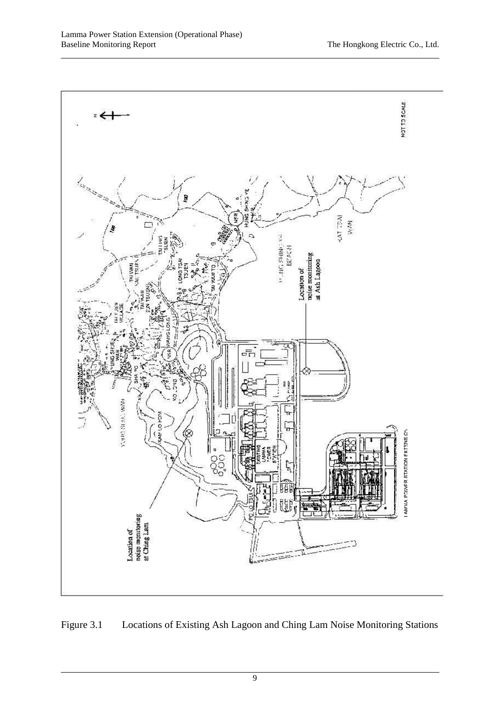l



Figure 3.1 Locations of Existing Ash Lagoon and Ching Lam Noise Monitoring Stations

9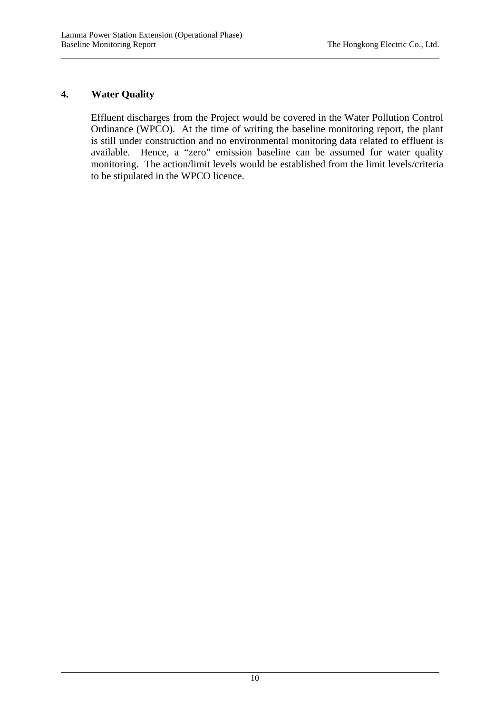## **4. Water Quality**

l

l

Effluent discharges from the Project would be covered in the Water Pollution Control Ordinance (WPCO). At the time of writing the baseline monitoring report, the plant is still under construction and no environmental monitoring data related to effluent is available. Hence, a "zero" emission baseline can be assumed for water quality monitoring. The action/limit levels would be established from the limit levels/criteria to be stipulated in the WPCO licence.